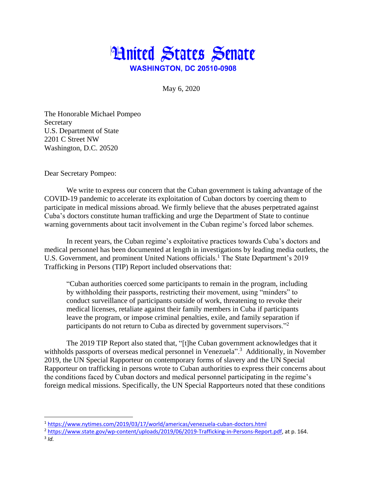

May 6, 2020

The Honorable Michael Pompeo **Secretary** U.S. Department of State 2201 C Street NW Washington, D.C. 20520

Dear Secretary Pompeo:

We write to express our concern that the Cuban government is taking advantage of the COVID-19 pandemic to accelerate its exploitation of Cuban doctors by coercing them to participate in medical missions abroad. We firmly believe that the abuses perpetrated against Cuba's doctors constitute human trafficking and urge the Department of State to continue warning governments about tacit involvement in the Cuban regime's forced labor schemes.

In recent years, the Cuban regime's exploitative practices towards Cuba's doctors and medical personnel has been documented at length in investigations by leading media outlets, the U.S. Government, and prominent United Nations officials.<sup>1</sup> The State Department's 2019 Trafficking in Persons (TIP) Report included observations that:

"Cuban authorities coerced some participants to remain in the program, including by withholding their passports, restricting their movement, using "minders" to conduct surveillance of participants outside of work, threatening to revoke their medical licenses, retaliate against their family members in Cuba if participants leave the program, or impose criminal penalties, exile, and family separation if participants do not return to Cuba as directed by government supervisors."<sup>2</sup>

The 2019 TIP Report also stated that, "[t]he Cuban government acknowledges that it withholds passports of overseas medical personnel in Venezuela".<sup>3</sup> Additionally, in November 2019, the UN Special Rapporteur on contemporary forms of slavery and the UN Special Rapporteur on trafficking in persons wrote to Cuban authorities to express their concerns about the conditions faced by Cuban doctors and medical personnel participating in the regime's foreign medical missions. Specifically, the UN Special Rapporteurs noted that these conditions

 $\overline{\phantom{a}}$ 

<sup>&</sup>lt;sup>1</sup><https://www.nytimes.com/2019/03/17/world/americas/venezuela-cuban-doctors.html>

<sup>2</sup> [https://www.state.gov/wp-content/uploads/2019/06/2019-Trafficking-in-Persons-Report.pdf,](https://www.state.gov/wp-content/uploads/2019/06/2019-Trafficking-in-Persons-Report.pdf) at p. 164.

<sup>3</sup> *Id.*